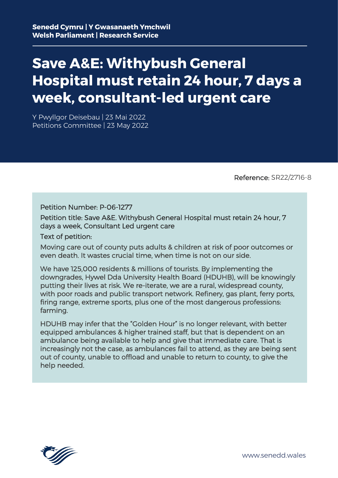# **Save A&E: Withybush General Hospital must retain 24 hour, 7 days a week, consultant-led urgent care**

Y Pwyllgor Deisebau | 23 Mai 2022 Petitions Committee | 23 May 2022

Reference: SR22/2716-8

Petition Number: P-06-1277

Petition title: Save A&E. Withybush General Hospital must retain 24 hour, 7 days a week, Consultant Led urgent care

Text of petition:

Moving care out of county puts adults & children at risk of poor outcomes or even death. It wastes crucial time, when time is not on our side.

We have 125,000 residents & millions of tourists. By implementing the downgrades, Hywel Dda University Health Board (HDUHB), will be knowingly putting their lives at risk. We re-iterate, we are a rural, widespread county, with poor roads and public transport network. Refinery, gas plant, ferry ports, firing range, extreme sports, plus one of the most dangerous professions: farming.

HDUHB may infer that the "Golden Hour" is no longer relevant, with better equipped ambulances & higher trained staff, but that is dependent on an ambulance being available to help and give that immediate care. That is increasingly not the case, as ambulances fail to attend, as they are being sent out of county, unable to offload and unable to return to county, to give the help needed.

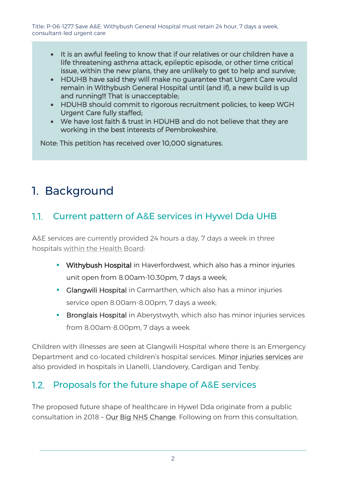- It is an awful feeling to know that if our relatives or our children have a life threatening asthma attack, epileptic episode, or other time critical issue, within the new plans, they are unlikely to get to help and survive;
- HDUHB have said they will make no guarantee that Urgent Care would remain in Withybush General Hospital until (and if), a new build is up and running!!! That is unacceptable;
- HDUHB should commit to rigorous recruitment policies, to keep WGH Urgent Care fully staffed;
- We have lost faith & trust in HDUHB and do not believe that they are working in the best interests of Pembrokeshire.

Note: This petition has received over 10,000 signatures.

# 1. Background

## 1.1. Current pattern of A&E services in Hywel Dda UHB

A&E services are currently provided 24 hours a day, 7 days a week in three hospitals [within the Health Board:](https://hduhb.nhs.wales/healthcare/hospitals-and-centres/minor-injuries-units/#collapsex2DE951771)

- **Withybush Hospital** in Haverfordwest, which also has a minor injuries unit open from 8.00am-10.30pm, 7 days a week;
- **Glangwili Hospital** in Carmarthen, which also has a minor injuries service open 8.00am-8.00pm, 7 days a week;
- **Bronglais Hospital** in Aberystwyth, which also has minor injuries services from 8.00am-8.00pm, 7 days a week.

Children with illnesses are seen at Glangwili Hospital where there is an Emergency Department and co-located children's hospital services. [Minor injuries services](https://hduhb.nhs.wales/healthcare/hospitals-and-centres/minor-injuries-units/) are also provided in hospitals in Llanelli, Llandovery, Cardigan and Tenby.

### 1.2. Proposals for the future shape of A&E services

The proposed future shape of healthcare in Hywel Dda originate from a public consultation in 2018 – [Our Big NHS Change.](http://www.wales.nhs.uk/sitesplus/documents/862/BC-EasyRead-Final-English1.pdf) Following on from this consultation,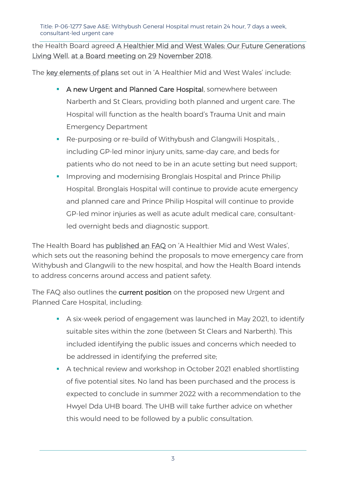Title: P-06-1277 Save A&E: Withybush General Hospital must retain 24 hour, 7 days a week, consultant-led urgent care

the Health Board agreed [A Healthier Mid and West Wales: Our Future Generations](https://hduhb.nhs.wales/about-us/healthier-mid-and-west-wales/)  [Living Well,](https://hduhb.nhs.wales/about-us/healthier-mid-and-west-wales/) [at a Board meeting on 29 November 2018.](https://hduhb.nhs.wales/about-us/healthier-mid-and-west-wales/healthier-mid-and-west-wales-folder/a-healthier-mid-and-west-wales-frequently-asked-questions/#collapsex5D07FA622)

The [key elements of plans](https://hduhb.nhs.wales/news/press-releases/once-in-a-lifetime-bid-for-health-and-care-investment-in-mid-and-west-wales/) set out in 'A Healthier Mid and West Wales' include:

- **A new Urgent and Planned Care Hospital**, somewhere between Narberth and St Clears, providing both planned and urgent care. The Hospital will function as the health board's Trauma Unit and main Emergency Department
- Re-purposing or re-build of Withybush and Glangwili Hospitals, , including GP-led minor injury units, same-day care, and beds for patients who do not need to be in an acute setting but need support;
- **IMPROPIED And Modernising Bronglais Hospital and Prince Philip** Hospital. Bronglais Hospital will continue to provide acute emergency and planned care and Prince Philip Hospital will continue to provide GP-led minor injuries as well as acute adult medical care, consultantled overnight beds and diagnostic support.

The Health Board has [published an FAQ](https://hduhb.nhs.wales/about-us/healthier-mid-and-west-wales/healthier-mid-and-west-wales-folder/a-healthier-mid-and-west-wales-frequently-asked-questions/) on 'A Healthier Mid and West Wales', which sets out the reasoning behind the proposals to move emergency care from Withybush and Glangwili to the new hospital, and how the Health Board intends to address concerns around access and patient safety.

The FAQ also outlines the current position on the proposed new Urgent and Planned Care Hospital, including:

- A six-week period of engagement was launched in May 2021, to identify suitable sites within the zone (between St Clears and Narberth). This included identifying the public issues and concerns which needed to be addressed in identifying the preferred site;
- A technical review and workshop in October 2021 enabled shortlisting of five potential sites. No land has been purchased and the process is expected to conclude in summer 2022 with a recommendation to the Hwyel Dda UHB board. The UHB will take further advice on whether this would need to be followed by a public consultation.